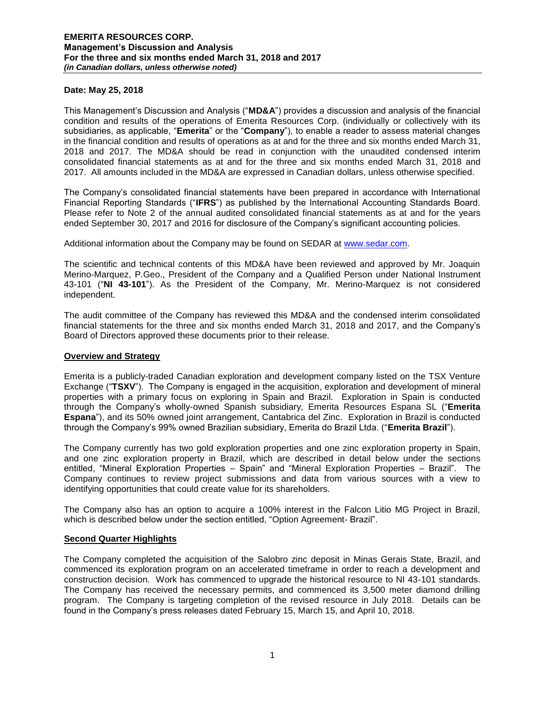#### **Date: May 25, 2018**

This Management's Discussion and Analysis ("**MD&A**") provides a discussion and analysis of the financial condition and results of the operations of Emerita Resources Corp. (individually or collectively with its subsidiaries, as applicable, "**Emerita**" or the "**Company**"), to enable a reader to assess material changes in the financial condition and results of operations as at and for the three and six months ended March 31, 2018 and 2017. The MD&A should be read in conjunction with the unaudited condensed interim consolidated financial statements as at and for the three and six months ended March 31, 2018 and 2017. All amounts included in the MD&A are expressed in Canadian dollars, unless otherwise specified.

The Company's consolidated financial statements have been prepared in accordance with International Financial Reporting Standards ("**IFRS**") as published by the International Accounting Standards Board. Please refer to Note 2 of the annual audited consolidated financial statements as at and for the years ended September 30, 2017 and 2016 for disclosure of the Company's significant accounting policies.

Additional information about the Company may be found on SEDAR at [www.sedar.com.](http://www.sedar.com/)

The scientific and technical contents of this MD&A have been reviewed and approved by Mr. Joaquin Merino-Marquez, P.Geo., President of the Company and a Qualified Person under National Instrument 43-101 ("**NI 43-101**"). As the President of the Company, Mr. Merino-Marquez is not considered independent.

The audit committee of the Company has reviewed this MD&A and the condensed interim consolidated financial statements for the three and six months ended March 31, 2018 and 2017, and the Company's Board of Directors approved these documents prior to their release.

#### **Overview and Strategy**

Emerita is a publicly-traded Canadian exploration and development company listed on the TSX Venture Exchange ("**TSXV**"). The Company is engaged in the acquisition, exploration and development of mineral properties with a primary focus on exploring in Spain and Brazil. Exploration in Spain is conducted through the Company's wholly-owned Spanish subsidiary, Emerita Resources Espana SL ("**Emerita Espana**"), and its 50% owned joint arrangement, Cantabrica del Zinc. Exploration in Brazil is conducted through the Company's 99% owned Brazilian subsidiary, Emerita do Brazil Ltda. ("**Emerita Brazil**").

The Company currently has two gold exploration properties and one zinc exploration property in Spain, and one zinc exploration property in Brazil, which are described in detail below under the sections entitled, "Mineral Exploration Properties – Spain" and "Mineral Exploration Properties – Brazil". The Company continues to review project submissions and data from various sources with a view to identifying opportunities that could create value for its shareholders.

The Company also has an option to acquire a 100% interest in the Falcon Litio MG Project in Brazil, which is described below under the section entitled, "Option Agreement- Brazil".

#### **Second Quarter Highlights**

The Company completed the acquisition of the Salobro zinc deposit in Minas Gerais State, Brazil, and commenced its exploration program on an accelerated timeframe in order to reach a development and construction decision. Work has commenced to upgrade the historical resource to NI 43-101 standards. The Company has received the necessary permits, and commenced its 3,500 meter diamond drilling program. The Company is targeting completion of the revised resource in July 2018. Details can be found in the Company's press releases dated February 15, March 15, and April 10, 2018.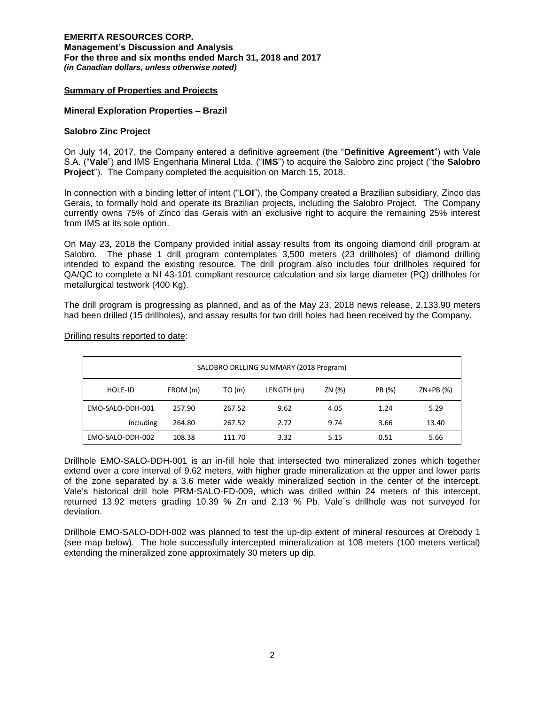# **Summary of Properties and Projects**

#### **Mineral Exploration Properties – Brazil**

#### **Salobro Zinc Project**

On July 14, 2017, the Company entered a definitive agreement (the "**Definitive Agreement**") with Vale S.A. ("**Vale**") and IMS Engenharia Mineral Ltda. ("**IMS**") to acquire the Salobro zinc project ("the **Salobro Project**"). The Company completed the acquisition on March 15, 2018.

In connection with a binding letter of intent ("**LOI**"), the Company created a Brazilian subsidiary, Zinco das Gerais, to formally hold and operate its Brazilian projects, including the Salobro Project. The Company currently owns 75% of Zinco das Gerais with an exclusive right to acquire the remaining 25% interest from IMS at its sole option.

On May 23, 2018 the Company provided initial assay results from its ongoing diamond drill program at Salobro. The phase 1 drill program contemplates 3,500 meters (23 drillholes) of diamond drilling intended to expand the existing resource. The drill program also includes four drillholes required for QA/QC to complete a NI 43-101 compliant resource calculation and six large diameter (PQ) drillholes for metallurgical testwork (400 Kg).

The drill program is progressing as planned, and as of the May 23, 2018 news release, 2,133.90 meters had been drilled (15 drillholes), and assay results for two drill holes had been received by the Company.

| SALOBRO DRLLING SUMMARY (2018 Program) |          |        |            |        |        |            |  |
|----------------------------------------|----------|--------|------------|--------|--------|------------|--|
| HOLE-ID                                | FROM (m) | TO(m)  | LENGTH (m) | ZN (%) | PB (%) | $ZN+PB(%)$ |  |
| EMO-SALO-DDH-001                       | 257.90   | 267.52 | 9.62       | 4.05   | 1.24   | 5.29       |  |
| including                              | 264.80   | 267.52 | 2.72       | 9.74   | 3.66   | 13.40      |  |
| EMO-SALO-DDH-002                       | 108.38   | 111.70 | 3.32       | 5.15   | 0.51   | 5.66       |  |

Drilling results reported to date:

Drillhole EMO-SALO-DDH-001 is an in-fill hole that intersected two mineralized zones which together extend over a core interval of 9.62 meters, with higher grade mineralization at the upper and lower parts of the zone separated by a 3.6 meter wide weakly mineralized section in the center of the intercept. Vale's historical drill hole PRM-SALO-FD-009, which was drilled within 24 meters of this intercept, returned 13.92 meters grading 10.39 % Zn and 2.13 % Pb. Vale´s drillhole was not surveyed for deviation.

Drillhole EMO-SALO-DDH-002 was planned to test the up-dip extent of mineral resources at Orebody 1 (see map below). The hole successfully intercepted mineralization at 108 meters (100 meters vertical) extending the mineralized zone approximately 30 meters up dip.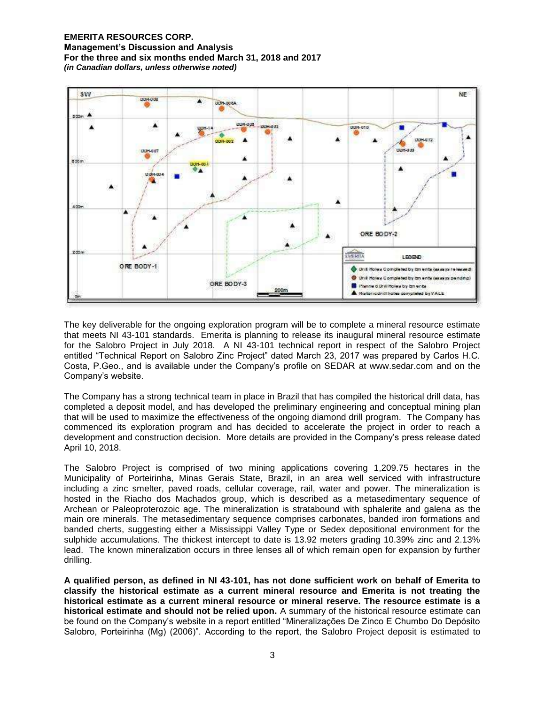

The key deliverable for the ongoing exploration program will be to complete a mineral resource estimate that meets NI 43-101 standards. Emerita is planning to release its inaugural mineral resource estimate for the Salobro Project in July 2018. A NI 43-101 technical report in respect of the Salobro Project entitled "Technical Report on Salobro Zinc Project" dated March 23, 2017 was prepared by Carlos H.C. Costa, P.Geo., and is available under the Company's profile on SEDAR at www.sedar.com and on the Company's website.

The Company has a strong technical team in place in Brazil that has compiled the historical drill data, has completed a deposit model, and has developed the preliminary engineering and conceptual mining plan that will be used to maximize the effectiveness of the ongoing diamond drill program. The Company has commenced its exploration program and has decided to accelerate the project in order to reach a development and construction decision. More details are provided in the Company's press release dated April 10, 2018.

The Salobro Project is comprised of two mining applications covering 1,209.75 hectares in the Municipality of Porteirinha, Minas Gerais State, Brazil, in an area well serviced with infrastructure including a zinc smelter, paved roads, cellular coverage, rail, water and power. The mineralization is hosted in the Riacho dos Machados group, which is described as a metasedimentary sequence of Archean or Paleoproterozoic age. The mineralization is stratabound with sphalerite and galena as the main ore minerals. The metasedimentary sequence comprises carbonates, banded iron formations and banded cherts, suggesting either a Mississippi Valley Type or Sedex depositional environment for the sulphide accumulations. The thickest intercept to date is 13.92 meters grading 10.39% zinc and 2.13% lead. The known mineralization occurs in three lenses all of which remain open for expansion by further drilling.

**A qualified person, as defined in NI 43-101, has not done sufficient work on behalf of Emerita to classify the historical estimate as a current mineral resource and Emerita is not treating the historical estimate as a current mineral resource or mineral reserve. The resource estimate is a historical estimate and should not be relied upon.** A summary of the historical resource estimate can be found on the Company's website in a report entitled "Mineralizações De Zinco E Chumbo Do Depósito Salobro, Porteirinha (Mg) (2006)". According to the report, the Salobro Project deposit is estimated to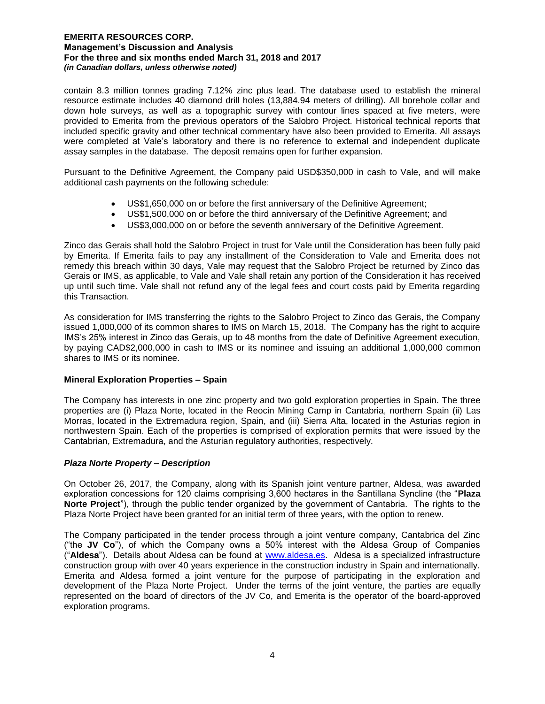contain 8.3 million tonnes grading 7.12% zinc plus lead. The database used to establish the mineral resource estimate includes 40 diamond drill holes (13,884.94 meters of drilling). All borehole collar and down hole surveys, as well as a topographic survey with contour lines spaced at five meters, were provided to Emerita from the previous operators of the Salobro Project. Historical technical reports that included specific gravity and other technical commentary have also been provided to Emerita. All assays were completed at Vale's laboratory and there is no reference to external and independent duplicate assay samples in the database. The deposit remains open for further expansion.

Pursuant to the Definitive Agreement, the Company paid USD\$350,000 in cash to Vale, and will make additional cash payments on the following schedule:

- US\$1,650,000 on or before the first anniversary of the Definitive Agreement;
- US\$1,500,000 on or before the third anniversary of the Definitive Agreement; and
- US\$3,000,000 on or before the seventh anniversary of the Definitive Agreement.

Zinco das Gerais shall hold the Salobro Project in trust for Vale until the Consideration has been fully paid by Emerita. If Emerita fails to pay any installment of the Consideration to Vale and Emerita does not remedy this breach within 30 days, Vale may request that the Salobro Project be returned by Zinco das Gerais or IMS, as applicable, to Vale and Vale shall retain any portion of the Consideration it has received up until such time. Vale shall not refund any of the legal fees and court costs paid by Emerita regarding this Transaction.

As consideration for IMS transferring the rights to the Salobro Project to Zinco das Gerais, the Company issued 1,000,000 of its common shares to IMS on March 15, 2018. The Company has the right to acquire IMS's 25% interest in Zinco das Gerais, up to 48 months from the date of Definitive Agreement execution, by paying CAD\$2,000,000 in cash to IMS or its nominee and issuing an additional 1,000,000 common shares to IMS or its nominee.

# **Mineral Exploration Properties – Spain**

The Company has interests in one zinc property and two gold exploration properties in Spain. The three properties are (i) Plaza Norte, located in the Reocin Mining Camp in Cantabria, northern Spain (ii) Las Morras, located in the Extremadura region, Spain, and (iii) Sierra Alta, located in the Asturias region in northwestern Spain. Each of the properties is comprised of exploration permits that were issued by the Cantabrian, Extremadura, and the Asturian regulatory authorities, respectively.

# *Plaza Norte Property – Description*

On October 26, 2017, the Company, along with its Spanish joint venture partner, Aldesa, was awarded exploration concessions for 120 claims comprising 3,600 hectares in the Santillana Syncline (the "**Plaza Norte Project**"), through the public tender organized by the government of Cantabria. The rights to the Plaza Norte Project have been granted for an initial term of three years, with the option to renew.

The Company participated in the tender process through a joint venture company, Cantabrica del Zinc ("the **JV Co**"), of which the Company owns a 50% interest with the Aldesa Group of Companies ("**Aldesa**"). Details about Aldesa can be found at [www.aldesa.es.](http://www.aldesa.es/) Aldesa is a specialized infrastructure construction group with over 40 years experience in the construction industry in Spain and internationally. Emerita and Aldesa formed a joint venture for the purpose of participating in the exploration and development of the Plaza Norte Project. Under the terms of the joint venture, the parties are equally represented on the board of directors of the JV Co, and Emerita is the operator of the board-approved exploration programs.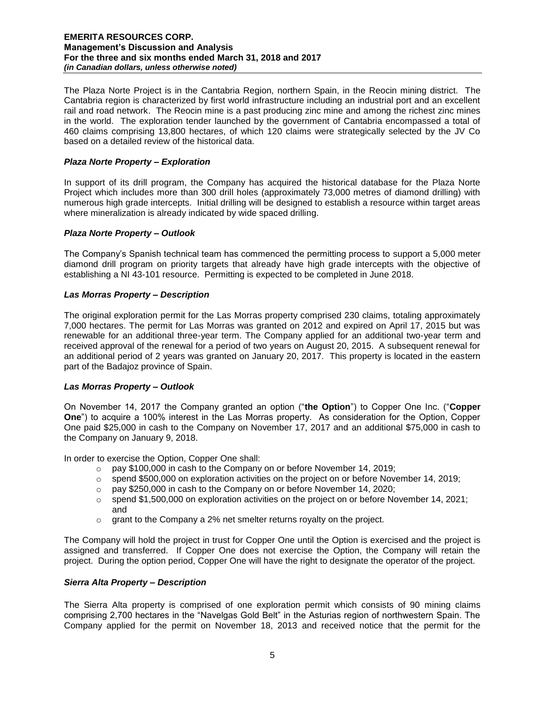The Plaza Norte Project is in the Cantabria Region, northern Spain, in the Reocin mining district. The Cantabria region is characterized by first world infrastructure including an industrial port and an excellent rail and road network. The Reocin mine is a past producing zinc mine and among the richest zinc mines in the world. The exploration tender launched by the government of Cantabria encompassed a total of 460 claims comprising 13,800 hectares, of which 120 claims were strategically selected by the JV Co based on a detailed review of the historical data.

# *Plaza Norte Property – Exploration*

In support of its drill program, the Company has acquired the historical database for the Plaza Norte Project which includes more than 300 drill holes (approximately 73,000 metres of diamond drilling) with numerous high grade intercepts. Initial drilling will be designed to establish a resource within target areas where mineralization is already indicated by wide spaced drilling.

# *Plaza Norte Property – Outlook*

The Company's Spanish technical team has commenced the permitting process to support a 5,000 meter diamond drill program on priority targets that already have high grade intercepts with the objective of establishing a NI 43-101 resource. Permitting is expected to be completed in June 2018.

# *Las Morras Property – Description*

The original exploration permit for the Las Morras property comprised 230 claims, totaling approximately 7,000 hectares. The permit for Las Morras was granted on 2012 and expired on April 17, 2015 but was renewable for an additional three-year term. The Company applied for an additional two-year term and received approval of the renewal for a period of two years on August 20, 2015. A subsequent renewal for an additional period of 2 years was granted on January 20, 2017. This property is located in the eastern part of the Badajoz province of Spain.

# *Las Morras Property – Outlook*

On November 14, 2017 the Company granted an option ("**the Option**") to Copper One Inc. ("**Copper One**") to acquire a 100% interest in the Las Morras property. As consideration for the Option, Copper One paid \$25,000 in cash to the Company on November 17, 2017 and an additional \$75,000 in cash to the Company on January 9, 2018.

In order to exercise the Option, Copper One shall:

- o pay \$100,000 in cash to the Company on or before November 14, 2019;
- $\circ$  spend \$500,000 on exploration activities on the project on or before November 14, 2019;
- o pay \$250,000 in cash to the Company on or before November 14, 2020;
- $\circ$  spend \$1,500,000 on exploration activities on the project on or before November 14, 2021; and
- $\circ$  grant to the Company a 2% net smelter returns royalty on the project.

The Company will hold the project in trust for Copper One until the Option is exercised and the project is assigned and transferred. If Copper One does not exercise the Option, the Company will retain the project. During the option period, Copper One will have the right to designate the operator of the project.

# *Sierra Alta Property – Description*

The Sierra Alta property is comprised of one exploration permit which consists of 90 mining claims comprising 2,700 hectares in the "Navelgas Gold Belt" in the Asturias region of northwestern Spain. The Company applied for the permit on November 18, 2013 and received notice that the permit for the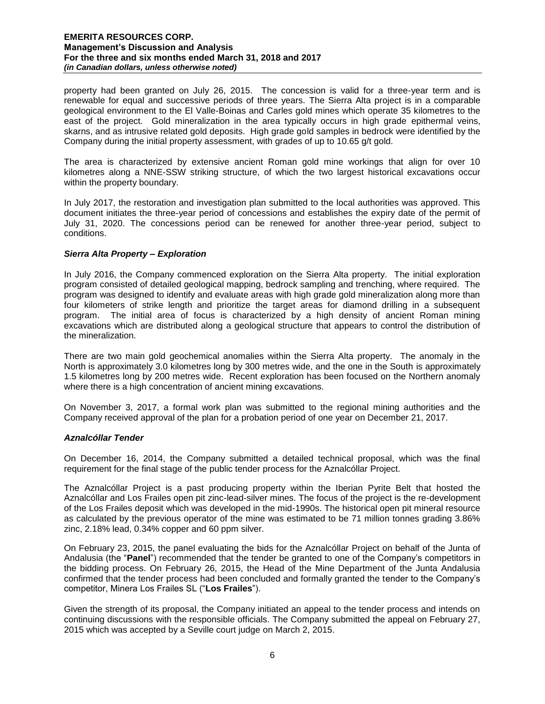property had been granted on July 26, 2015. The concession is valid for a three-year term and is renewable for equal and successive periods of three years. The Sierra Alta project is in a comparable geological environment to the El Valle-Boinas and Carles gold mines which operate 35 kilometres to the east of the project. Gold mineralization in the area typically occurs in high grade epithermal veins, skarns, and as intrusive related gold deposits. High grade gold samples in bedrock were identified by the Company during the initial property assessment, with grades of up to 10.65 g/t gold.

The area is characterized by extensive ancient Roman gold mine workings that align for over 10 kilometres along a NNE-SSW striking structure, of which the two largest historical excavations occur within the property boundary.

In July 2017, the restoration and investigation plan submitted to the local authorities was approved. This document initiates the three-year period of concessions and establishes the expiry date of the permit of July 31, 2020. The concessions period can be renewed for another three-year period, subject to conditions.

# *Sierra Alta Property – Exploration*

In July 2016, the Company commenced exploration on the Sierra Alta property. The initial exploration program consisted of detailed geological mapping, bedrock sampling and trenching, where required. The program was designed to identify and evaluate areas with high grade gold mineralization along more than four kilometers of strike length and prioritize the target areas for diamond drilling in a subsequent program. The initial area of focus is characterized by a high density of ancient Roman mining excavations which are distributed along a geological structure that appears to control the distribution of the mineralization.

There are two main gold geochemical anomalies within the Sierra Alta property. The anomaly in the North is approximately 3.0 kilometres long by 300 metres wide, and the one in the South is approximately 1.5 kilometres long by 200 metres wide. Recent exploration has been focused on the Northern anomaly where there is a high concentration of ancient mining excavations.

On November 3, 2017, a formal work plan was submitted to the regional mining authorities and the Company received approval of the plan for a probation period of one year on December 21, 2017.

# *Aznalcóllar Tender*

On December 16, 2014, the Company submitted a detailed technical proposal, which was the final requirement for the final stage of the public tender process for the Aznalcóllar Project.

The Aznalcóllar Project is a past producing property within the Iberian Pyrite Belt that hosted the Aznalcóllar and Los Frailes open pit zinc-lead-silver mines. The focus of the project is the re-development of the Los Frailes deposit which was developed in the mid-1990s. The historical open pit mineral resource as calculated by the previous operator of the mine was estimated to be 71 million tonnes grading 3.86% zinc, 2.18% lead, 0.34% copper and 60 ppm silver.

On February 23, 2015, the panel evaluating the bids for the Aznalcóllar Project on behalf of the Junta of Andalusia (the "**Panel**") recommended that the tender be granted to one of the Company's competitors in the bidding process. On February 26, 2015, the Head of the Mine Department of the Junta Andalusia confirmed that the tender process had been concluded and formally granted the tender to the Company's competitor, Minera Los Frailes SL ("**Los Frailes**").

Given the strength of its proposal, the Company initiated an appeal to the tender process and intends on continuing discussions with the responsible officials. The Company submitted the appeal on February 27, 2015 which was accepted by a Seville court judge on March 2, 2015.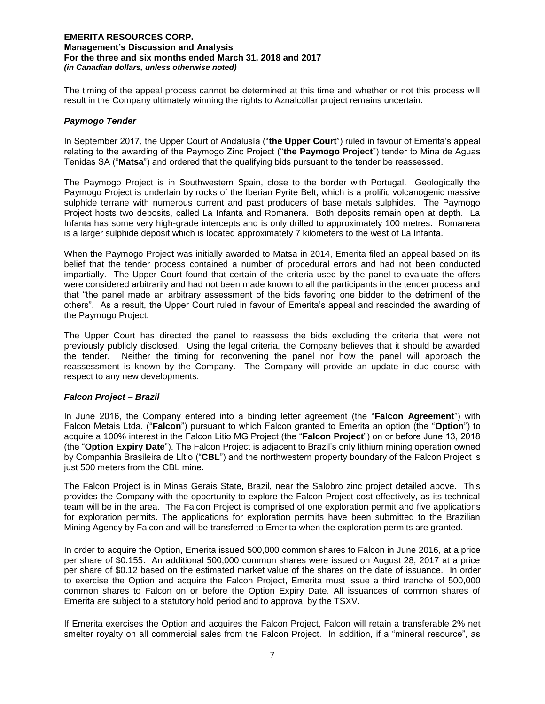The timing of the appeal process cannot be determined at this time and whether or not this process will result in the Company ultimately winning the rights to Aznalcóllar project remains uncertain.

# *Paymogo Tender*

In September 2017, the Upper Court of Andalusía ("**the Upper Court**") ruled in favour of Emerita's appeal relating to the awarding of the Paymogo Zinc Project ("**the Paymogo Project**") tender to Mina de Aguas Tenidas SA ("**Matsa**") and ordered that the qualifying bids pursuant to the tender be reassessed.

The Paymogo Project is in Southwestern Spain, close to the border with Portugal. Geologically the Paymogo Project is underlain by rocks of the Iberian Pyrite Belt, which is a prolific volcanogenic massive sulphide terrane with numerous current and past producers of base metals sulphides. The Paymogo Project hosts two deposits, called La Infanta and Romanera. Both deposits remain open at depth. La Infanta has some very high-grade intercepts and is only drilled to approximately 100 metres. Romanera is a larger sulphide deposit which is located approximately 7 kilometers to the west of La Infanta.

When the Paymogo Project was initially awarded to Matsa in 2014, Emerita filed an appeal based on its belief that the tender process contained a number of procedural errors and had not been conducted impartially. The Upper Court found that certain of the criteria used by the panel to evaluate the offers were considered arbitrarily and had not been made known to all the participants in the tender process and that "the panel made an arbitrary assessment of the bids favoring one bidder to the detriment of the others". As a result, the Upper Court ruled in favour of Emerita's appeal and rescinded the awarding of the Paymogo Project.

The Upper Court has directed the panel to reassess the bids excluding the criteria that were not previously publicly disclosed. Using the legal criteria, the Company believes that it should be awarded the tender. Neither the timing for reconvening the panel nor how the panel will approach the reassessment is known by the Company. The Company will provide an update in due course with respect to any new developments.

# *Falcon Project – Brazil*

In June 2016, the Company entered into a binding letter agreement (the "**Falcon Agreement**") with Falcon Metais Ltda. ("**Falcon**") pursuant to which Falcon granted to Emerita an option (the "**Option**") to acquire a 100% interest in the Falcon Litio MG Project (the "**Falcon Project**") on or before June 13, 2018 (the "**Option Expiry Date**"). The Falcon Project is adjacent to Brazil's only lithium mining operation owned by Companhia Brasileira de Lítio ("**CBL**") and the northwestern property boundary of the Falcon Project is just 500 meters from the CBL mine.

The Falcon Project is in Minas Gerais State, Brazil, near the Salobro zinc project detailed above. This provides the Company with the opportunity to explore the Falcon Project cost effectively, as its technical team will be in the area. The Falcon Project is comprised of one exploration permit and five applications for exploration permits. The applications for exploration permits have been submitted to the Brazilian Mining Agency by Falcon and will be transferred to Emerita when the exploration permits are granted.

In order to acquire the Option, Emerita issued 500,000 common shares to Falcon in June 2016, at a price per share of \$0.155. An additional 500,000 common shares were issued on August 28, 2017 at a price per share of \$0.12 based on the estimated market value of the shares on the date of issuance. In order to exercise the Option and acquire the Falcon Project, Emerita must issue a third tranche of 500,000 common shares to Falcon on or before the Option Expiry Date. All issuances of common shares of Emerita are subject to a statutory hold period and to approval by the TSXV.

If Emerita exercises the Option and acquires the Falcon Project, Falcon will retain a transferable 2% net smelter royalty on all commercial sales from the Falcon Project. In addition, if a "mineral resource", as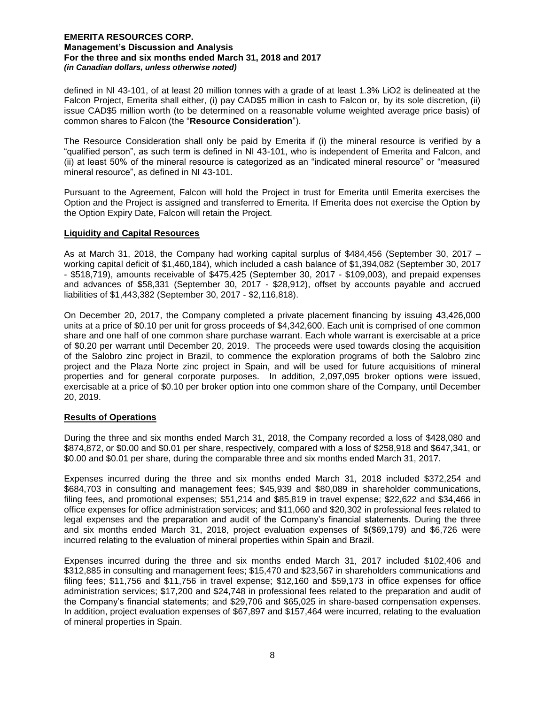defined in NI 43-101, of at least 20 million tonnes with a grade of at least 1.3% LiO2 is delineated at the Falcon Project, Emerita shall either, (i) pay CAD\$5 million in cash to Falcon or, by its sole discretion, (ii) issue CAD\$5 million worth (to be determined on a reasonable volume weighted average price basis) of common shares to Falcon (the "**Resource Consideration**").

The Resource Consideration shall only be paid by Emerita if (i) the mineral resource is verified by a "qualified person", as such term is defined in NI 43-101, who is independent of Emerita and Falcon, and (ii) at least 50% of the mineral resource is categorized as an "indicated mineral resource" or "measured mineral resource", as defined in NI 43-101.

Pursuant to the Agreement, Falcon will hold the Project in trust for Emerita until Emerita exercises the Option and the Project is assigned and transferred to Emerita. If Emerita does not exercise the Option by the Option Expiry Date, Falcon will retain the Project.

#### **Liquidity and Capital Resources**

As at March 31, 2018, the Company had working capital surplus of \$484,456 (September 30, 2017 – working capital deficit of \$1,460,184), which included a cash balance of \$1,394,082 (September 30, 2017 - \$518,719), amounts receivable of \$475,425 (September 30, 2017 - \$109,003), and prepaid expenses and advances of \$58,331 (September 30, 2017 - \$28,912), offset by accounts payable and accrued liabilities of \$1,443,382 (September 30, 2017 - \$2,116,818).

On December 20, 2017, the Company completed a private placement financing by issuing 43,426,000 units at a price of \$0.10 per unit for gross proceeds of \$4,342,600. Each unit is comprised of one common share and one half of one common share purchase warrant. Each whole warrant is exercisable at a price of \$0.20 per warrant until December 20, 2019. The proceeds were used towards closing the acquisition of the Salobro zinc project in Brazil, to commence the exploration programs of both the Salobro zinc project and the Plaza Norte zinc project in Spain, and will be used for future acquisitions of mineral properties and for general corporate purposes. In addition, 2,097,095 broker options were issued, exercisable at a price of \$0.10 per broker option into one common share of the Company, until December 20, 2019.

# **Results of Operations**

During the three and six months ended March 31, 2018, the Company recorded a loss of \$428,080 and \$874,872, or \$0.00 and \$0.01 per share, respectively, compared with a loss of \$258,918 and \$647,341, or \$0.00 and \$0.01 per share, during the comparable three and six months ended March 31, 2017.

Expenses incurred during the three and six months ended March 31, 2018 included \$372,254 and \$684,703 in consulting and management fees; \$45,939 and \$80,089 in shareholder communications, filing fees, and promotional expenses; \$51,214 and \$85,819 in travel expense; \$22,622 and \$34,466 in office expenses for office administration services; and \$11,060 and \$20,302 in professional fees related to legal expenses and the preparation and audit of the Company's financial statements. During the three and six months ended March 31, 2018, project evaluation expenses of \$(\$69,179) and \$6,726 were incurred relating to the evaluation of mineral properties within Spain and Brazil.

Expenses incurred during the three and six months ended March 31, 2017 included \$102,406 and \$312,885 in consulting and management fees; \$15,470 and \$23,567 in shareholders communications and filing fees; \$11,756 and \$11,756 in travel expense; \$12,160 and \$59,173 in office expenses for office administration services; \$17,200 and \$24,748 in professional fees related to the preparation and audit of the Company's financial statements; and \$29,706 and \$65,025 in share-based compensation expenses. In addition, project evaluation expenses of \$67,897 and \$157,464 were incurred, relating to the evaluation of mineral properties in Spain.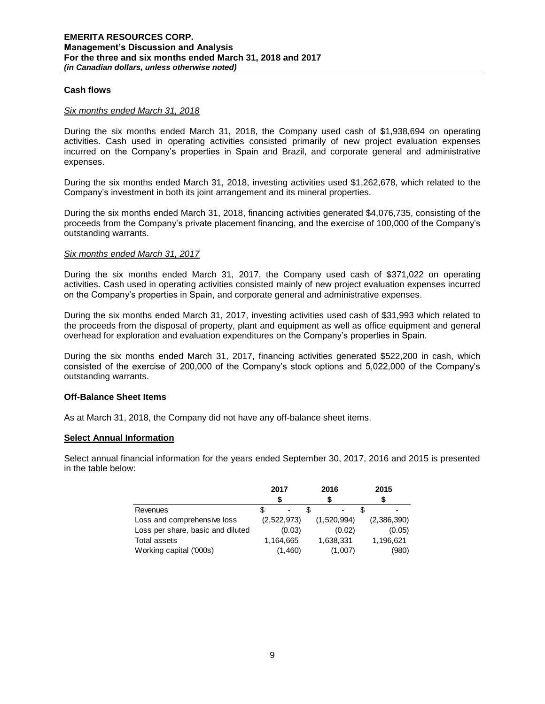#### **Cash flows**

#### *Six months ended March 31, 2018*

During the six months ended March 31, 2018, the Company used cash of \$1,938,694 on operating activities. Cash used in operating activities consisted primarily of new project evaluation expenses incurred on the Company's properties in Spain and Brazil, and corporate general and administrative expenses.

During the six months ended March 31, 2018, investing activities used \$1,262,678, which related to the Company's investment in both its joint arrangement and its mineral properties.

During the six months ended March 31, 2018, financing activities generated \$4,076,735, consisting of the proceeds from the Company's private placement financing, and the exercise of 100,000 of the Company's outstanding warrants.

#### *Six months ended March 31, 2017*

During the six months ended March 31, 2017, the Company used cash of \$371,022 on operating activities. Cash used in operating activities consisted mainly of new project evaluation expenses incurred on the Company's properties in Spain, and corporate general and administrative expenses.

During the six months ended March 31, 2017, investing activities used cash of \$31,993 which related to the proceeds from the disposal of property, plant and equipment as well as office equipment and general overhead for exploration and evaluation expenditures on the Company's properties in Spain.

During the six months ended March 31, 2017, financing activities generated \$522,200 in cash, which consisted of the exercise of 200,000 of the Company's stock options and 5,022,000 of the Company's outstanding warrants.

# **Off-Balance Sheet Items**

As at March 31, 2018, the Company did not have any off-balance sheet items.

# **Select Annual Information**

Select annual financial information for the years ended September 30, 2017, 2016 and 2015 is presented in the table below:

|                                   | 2017        | 2016                     | 2015        |  |
|-----------------------------------|-------------|--------------------------|-------------|--|
|                                   |             |                          |             |  |
| Revenues                          |             | $\overline{\phantom{a}}$ |             |  |
| Loss and comprehensive loss       | (2,522,973) | (1,520,994)              | (2,386,390) |  |
| Loss per share, basic and diluted | (0.03)      | (0.02)                   | (0.05)      |  |
| <b>Total assets</b>               | 1,164,665   | 1,638,331                | 1,196,621   |  |
| Working capital ('000s)           | (1,460)     | (1,007)                  | (980)       |  |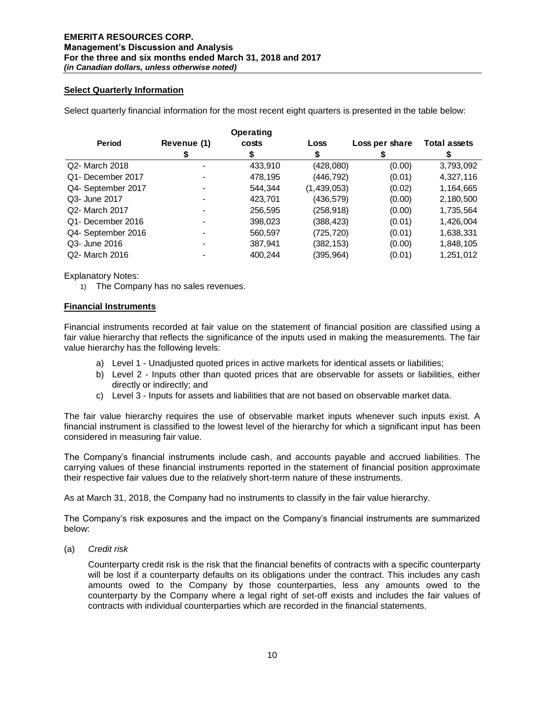# **Select Quarterly Information**

Select quarterly financial information for the most recent eight quarters is presented in the table below:

|                    |             | Operating |             |                |                     |
|--------------------|-------------|-----------|-------------|----------------|---------------------|
| <b>Period</b>      | Revenue (1) | costs     | Loss        | Loss per share | <b>Total assets</b> |
|                    |             |           |             |                |                     |
| Q2- March 2018     |             | 433,910   | (428,080)   | (0.00)         | 3,793,092           |
| Q1- December 2017  |             | 478,195   | (446, 792)  | (0.01)         | 4,327,116           |
| Q4- September 2017 |             | 544,344   | (1,439,053) | (0.02)         | 1,164,665           |
| Q3- June 2017      |             | 423,701   | (436, 579)  | (0.00)         | 2,180,500           |
| Q2- March 2017     |             | 256,595   | (258, 918)  | (0.00)         | 1,735,564           |
| Q1- December 2016  |             | 398,023   | (388, 423)  | (0.01)         | 1,426,004           |
| Q4- September 2016 |             | 560,597   | (725, 720)  | (0.01)         | 1,638,331           |
| Q3- June 2016      |             | 387,941   | (382, 153)  | (0.00)         | 1,848,105           |
| Q2- March 2016     |             | 400,244   | (395,964)   | (0.01)         | 1,251,012           |

Explanatory Notes:

1) The Company has no sales revenues.

#### **Financial Instruments**

Financial instruments recorded at fair value on the statement of financial position are classified using a fair value hierarchy that reflects the significance of the inputs used in making the measurements. The fair value hierarchy has the following levels:

- a) Level 1 Unadjusted quoted prices in active markets for identical assets or liabilities;
- b) Level 2 Inputs other than quoted prices that are observable for assets or liabilities, either directly or indirectly; and
- c) Level 3 Inputs for assets and liabilities that are not based on observable market data.

The fair value hierarchy requires the use of observable market inputs whenever such inputs exist. A financial instrument is classified to the lowest level of the hierarchy for which a significant input has been considered in measuring fair value.

The Company's financial instruments include cash, and accounts payable and accrued liabilities. The carrying values of these financial instruments reported in the statement of financial position approximate their respective fair values due to the relatively short-term nature of these instruments.

As at March 31, 2018, the Company had no instruments to classify in the fair value hierarchy.

The Company's risk exposures and the impact on the Company's financial instruments are summarized below:

(a) *Credit risk* 

Counterparty credit risk is the risk that the financial benefits of contracts with a specific counterparty will be lost if a counterparty defaults on its obligations under the contract. This includes any cash amounts owed to the Company by those counterparties, less any amounts owed to the counterparty by the Company where a legal right of set-off exists and includes the fair values of contracts with individual counterparties which are recorded in the financial statements.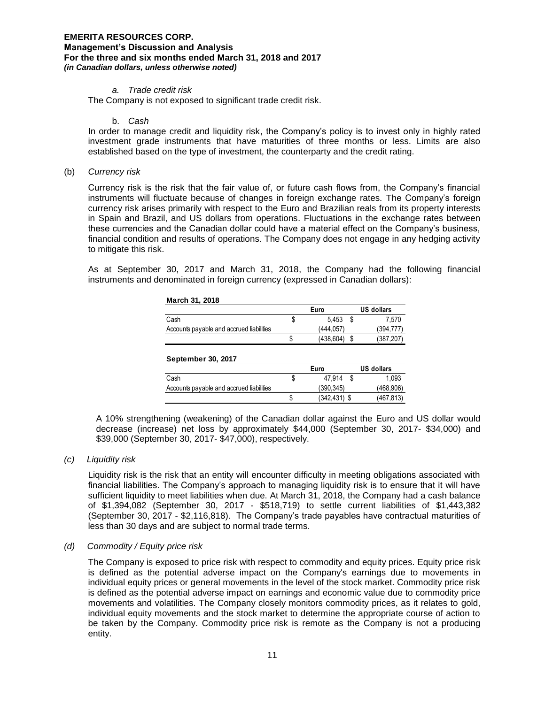#### *a. Trade credit risk*

The Company is not exposed to significant trade credit risk.

b. *Cash*

In order to manage credit and liquidity risk, the Company's policy is to invest only in highly rated investment grade instruments that have maturities of three months or less. Limits are also established based on the type of investment, the counterparty and the credit rating.

(b) *Currency risk* 

Currency risk is the risk that the fair value of, or future cash flows from, the Company's financial instruments will fluctuate because of changes in foreign exchange rates. The Company's foreign currency risk arises primarily with respect to the Euro and Brazilian reals from its property interests in Spain and Brazil, and US dollars from operations. Fluctuations in the exchange rates between these currencies and the Canadian dollar could have a material effect on the Company's business, financial condition and results of operations. The Company does not engage in any hedging activity to mitigate this risk.

As at September 30, 2017 and March 31, 2018, the Company had the following financial instruments and denominated in foreign currency (expressed in Canadian dollars):

|                                          | Euro      | <b>US dollars</b> |
|------------------------------------------|-----------|-------------------|
| Cash                                     | 5.453     | 7.570             |
| Accounts payable and accrued liabilities | (444.057) | (394, 777)        |
|                                          | (438,604) | (387, 207)        |

| September 30, 2017                       |   |                |            |
|------------------------------------------|---|----------------|------------|
|                                          |   | Euro           | US dollars |
| Cash                                     | Φ | 47.914         | 1.093      |
| Accounts payable and accrued liabilities |   | (390.345)      | (468.906)  |
|                                          |   | $(342.431)$ \$ | (467, 813) |

A 10% strengthening (weakening) of the Canadian dollar against the Euro and US dollar would decrease (increase) net loss by approximately \$44,000 (September 30, 2017- \$34,000) and \$39,000 (September 30, 2017- \$47,000), respectively.

*(c) Liquidity risk* 

Liquidity risk is the risk that an entity will encounter difficulty in meeting obligations associated with financial liabilities. The Company's approach to managing liquidity risk is to ensure that it will have sufficient liquidity to meet liabilities when due. At March 31, 2018, the Company had a cash balance of \$1,394,082 (September 30, 2017 - \$518,719) to settle current liabilities of \$1,443,382 (September 30, 2017 - \$2,116,818). The Company's trade payables have contractual maturities of less than 30 days and are subject to normal trade terms.

#### *(d) Commodity / Equity price risk*

The Company is exposed to price risk with respect to commodity and equity prices. Equity price risk is defined as the potential adverse impact on the Company's earnings due to movements in individual equity prices or general movements in the level of the stock market. Commodity price risk is defined as the potential adverse impact on earnings and economic value due to commodity price movements and volatilities. The Company closely monitors commodity prices, as it relates to gold, individual equity movements and the stock market to determine the appropriate course of action to be taken by the Company. Commodity price risk is remote as the Company is not a producing entity.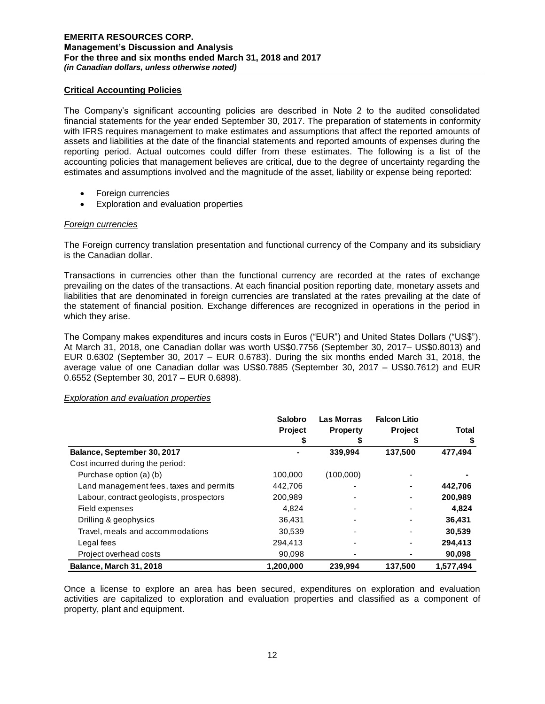# **Critical Accounting Policies**

The Company's significant accounting policies are described in Note 2 to the audited consolidated financial statements for the year ended September 30, 2017. The preparation of statements in conformity with IFRS requires management to make estimates and assumptions that affect the reported amounts of assets and liabilities at the date of the financial statements and reported amounts of expenses during the reporting period. Actual outcomes could differ from these estimates. The following is a list of the accounting policies that management believes are critical, due to the degree of uncertainty regarding the estimates and assumptions involved and the magnitude of the asset, liability or expense being reported:

- Foreign currencies
- Exploration and evaluation properties

# *Foreign currencies*

The Foreign currency translation presentation and functional currency of the Company and its subsidiary is the Canadian dollar.

Transactions in currencies other than the functional currency are recorded at the rates of exchange prevailing on the dates of the transactions. At each financial position reporting date, monetary assets and liabilities that are denominated in foreign currencies are translated at the rates prevailing at the date of the statement of financial position. Exchange differences are recognized in operations in the period in which they arise.

The Company makes expenditures and incurs costs in Euros ("EUR") and United States Dollars ("US\$"). At March 31, 2018, one Canadian dollar was worth US\$0.7756 (September 30, 2017– US\$0.8013) and EUR 0.6302 (September 30, 2017 – EUR 0.6783). During the six months ended March 31, 2018, the average value of one Canadian dollar was US\$0.7885 (September 30, 2017 – US\$0.7612) and EUR 0.6552 (September 30, 2017 – EUR 0.6898).

# *Exploration and evaluation properties*

|                                          | Salobro        | Las Morras      | <b>Falcon Litio</b> |              |
|------------------------------------------|----------------|-----------------|---------------------|--------------|
|                                          | <b>Project</b> | <b>Property</b> | <b>Project</b>      | <b>Total</b> |
|                                          |                |                 |                     |              |
| Balance, September 30, 2017              |                | 339,994         | 137,500             | 477,494      |
| Cost incurred during the period:         |                |                 |                     |              |
| Purchase option (a) (b)                  | 100,000        | (100,000)       |                     |              |
| Land management fees, taxes and permits  | 442,706        |                 |                     | 442,706      |
| Labour, contract geologists, prospectors | 200,989        |                 |                     | 200,989      |
| Field expenses                           | 4.824          |                 |                     | 4,824        |
| Drilling & geophysics                    | 36,431         |                 |                     | 36,431       |
| Travel, meals and accommodations         | 30,539         |                 |                     | 30,539       |
| Legal fees                               | 294.413        | $\blacksquare$  |                     | 294.413      |
| Project overhead costs                   | 90.098         |                 |                     | 90,098       |
| <b>Balance, March 31, 2018</b>           | 1,200,000      | 239.994         | 137.500             | 1.577.494    |

Once a license to explore an area has been secured, expenditures on exploration and evaluation activities are capitalized to exploration and evaluation properties and classified as a component of property, plant and equipment.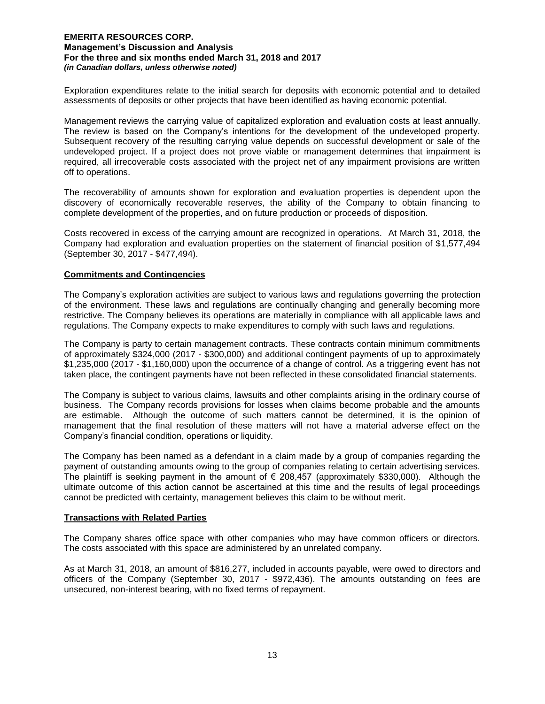Exploration expenditures relate to the initial search for deposits with economic potential and to detailed assessments of deposits or other projects that have been identified as having economic potential.

Management reviews the carrying value of capitalized exploration and evaluation costs at least annually. The review is based on the Company's intentions for the development of the undeveloped property. Subsequent recovery of the resulting carrying value depends on successful development or sale of the undeveloped project. If a project does not prove viable or management determines that impairment is required, all irrecoverable costs associated with the project net of any impairment provisions are written off to operations.

The recoverability of amounts shown for exploration and evaluation properties is dependent upon the discovery of economically recoverable reserves, the ability of the Company to obtain financing to complete development of the properties, and on future production or proceeds of disposition.

Costs recovered in excess of the carrying amount are recognized in operations. At March 31, 2018, the Company had exploration and evaluation properties on the statement of financial position of \$1,577,494 (September 30, 2017 - \$477,494).

# **Commitments and Contingencies**

The Company's exploration activities are subject to various laws and regulations governing the protection of the environment. These laws and regulations are continually changing and generally becoming more restrictive. The Company believes its operations are materially in compliance with all applicable laws and regulations. The Company expects to make expenditures to comply with such laws and regulations.

The Company is party to certain management contracts. These contracts contain minimum commitments of approximately \$324,000 (2017 - \$300,000) and additional contingent payments of up to approximately \$1,235,000 (2017 - \$1,160,000) upon the occurrence of a change of control. As a triggering event has not taken place, the contingent payments have not been reflected in these consolidated financial statements.

The Company is subject to various claims, lawsuits and other complaints arising in the ordinary course of business. The Company records provisions for losses when claims become probable and the amounts are estimable. Although the outcome of such matters cannot be determined, it is the opinion of management that the final resolution of these matters will not have a material adverse effect on the Company's financial condition, operations or liquidity.

The Company has been named as a defendant in a claim made by a group of companies regarding the payment of outstanding amounts owing to the group of companies relating to certain advertising services. The plaintiff is seeking payment in the amount of  $\epsilon$  208,457 (approximately \$330,000). Although the ultimate outcome of this action cannot be ascertained at this time and the results of legal proceedings cannot be predicted with certainty, management believes this claim to be without merit.

# **Transactions with Related Parties**

The Company shares office space with other companies who may have common officers or directors. The costs associated with this space are administered by an unrelated company.

As at March 31, 2018, an amount of \$816,277, included in accounts payable, were owed to directors and officers of the Company (September 30, 2017 - \$972,436). The amounts outstanding on fees are unsecured, non-interest bearing, with no fixed terms of repayment.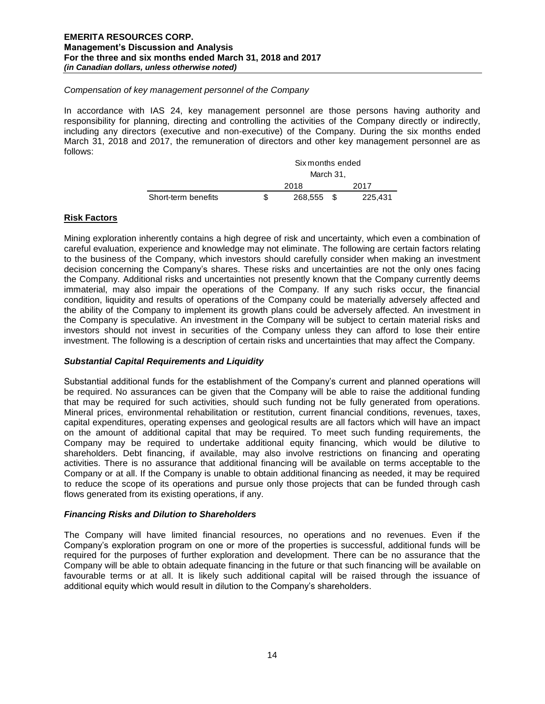#### *Compensation of key management personnel of the Company*

In accordance with IAS 24, key management personnel are those persons having authority and responsibility for planning, directing and controlling the activities of the Company directly or indirectly, including any directors (executive and non-executive) of the Company. During the six months ended March 31, 2018 and 2017, the remuneration of directors and other key management personnel are as follows:

|                     | Six months ended |         |      |         |  |
|---------------------|------------------|---------|------|---------|--|
|                     | March 31.        |         |      |         |  |
|                     |                  | 2018    |      | 2017    |  |
| Short-term benefits |                  | 268,555 | - \$ | 225.431 |  |

# **Risk Factors**

Mining exploration inherently contains a high degree of risk and uncertainty, which even a combination of careful evaluation, experience and knowledge may not eliminate. The following are certain factors relating to the business of the Company, which investors should carefully consider when making an investment decision concerning the Company's shares. These risks and uncertainties are not the only ones facing the Company. Additional risks and uncertainties not presently known that the Company currently deems immaterial, may also impair the operations of the Company. If any such risks occur, the financial condition, liquidity and results of operations of the Company could be materially adversely affected and the ability of the Company to implement its growth plans could be adversely affected. An investment in the Company is speculative. An investment in the Company will be subject to certain material risks and investors should not invest in securities of the Company unless they can afford to lose their entire investment. The following is a description of certain risks and uncertainties that may affect the Company.

# *Substantial Capital Requirements and Liquidity*

Substantial additional funds for the establishment of the Company's current and planned operations will be required. No assurances can be given that the Company will be able to raise the additional funding that may be required for such activities, should such funding not be fully generated from operations. Mineral prices, environmental rehabilitation or restitution, current financial conditions, revenues, taxes, capital expenditures, operating expenses and geological results are all factors which will have an impact on the amount of additional capital that may be required. To meet such funding requirements, the Company may be required to undertake additional equity financing, which would be dilutive to shareholders. Debt financing, if available, may also involve restrictions on financing and operating activities. There is no assurance that additional financing will be available on terms acceptable to the Company or at all. If the Company is unable to obtain additional financing as needed, it may be required to reduce the scope of its operations and pursue only those projects that can be funded through cash flows generated from its existing operations, if any.

# *Financing Risks and Dilution to Shareholders*

The Company will have limited financial resources, no operations and no revenues. Even if the Company's exploration program on one or more of the properties is successful, additional funds will be required for the purposes of further exploration and development. There can be no assurance that the Company will be able to obtain adequate financing in the future or that such financing will be available on favourable terms or at all. It is likely such additional capital will be raised through the issuance of additional equity which would result in dilution to the Company's shareholders.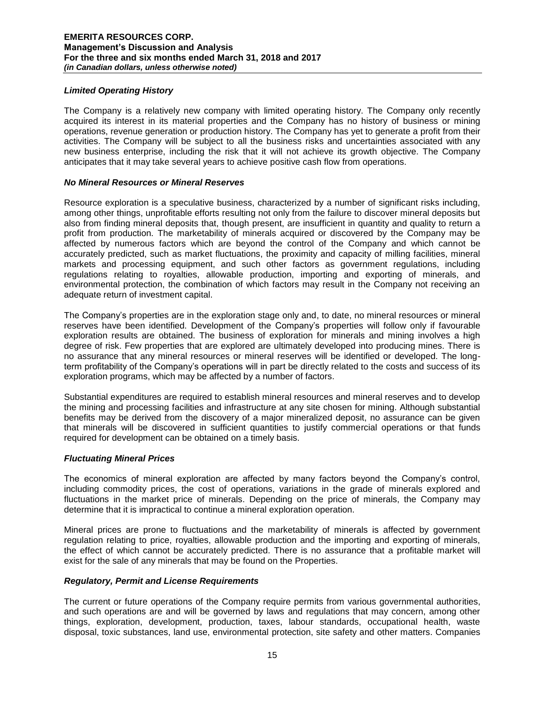# *Limited Operating History*

The Company is a relatively new company with limited operating history. The Company only recently acquired its interest in its material properties and the Company has no history of business or mining operations, revenue generation or production history. The Company has yet to generate a profit from their activities. The Company will be subject to all the business risks and uncertainties associated with any new business enterprise, including the risk that it will not achieve its growth objective. The Company anticipates that it may take several years to achieve positive cash flow from operations.

# *No Mineral Resources or Mineral Reserves*

Resource exploration is a speculative business, characterized by a number of significant risks including, among other things, unprofitable efforts resulting not only from the failure to discover mineral deposits but also from finding mineral deposits that, though present, are insufficient in quantity and quality to return a profit from production. The marketability of minerals acquired or discovered by the Company may be affected by numerous factors which are beyond the control of the Company and which cannot be accurately predicted, such as market fluctuations, the proximity and capacity of milling facilities, mineral markets and processing equipment, and such other factors as government regulations, including regulations relating to royalties, allowable production, importing and exporting of minerals, and environmental protection, the combination of which factors may result in the Company not receiving an adequate return of investment capital.

The Company's properties are in the exploration stage only and, to date, no mineral resources or mineral reserves have been identified. Development of the Company's properties will follow only if favourable exploration results are obtained. The business of exploration for minerals and mining involves a high degree of risk. Few properties that are explored are ultimately developed into producing mines. There is no assurance that any mineral resources or mineral reserves will be identified or developed. The longterm profitability of the Company's operations will in part be directly related to the costs and success of its exploration programs, which may be affected by a number of factors.

Substantial expenditures are required to establish mineral resources and mineral reserves and to develop the mining and processing facilities and infrastructure at any site chosen for mining. Although substantial benefits may be derived from the discovery of a major mineralized deposit, no assurance can be given that minerals will be discovered in sufficient quantities to justify commercial operations or that funds required for development can be obtained on a timely basis.

# *Fluctuating Mineral Prices*

The economics of mineral exploration are affected by many factors beyond the Company's control, including commodity prices, the cost of operations, variations in the grade of minerals explored and fluctuations in the market price of minerals. Depending on the price of minerals, the Company may determine that it is impractical to continue a mineral exploration operation.

Mineral prices are prone to fluctuations and the marketability of minerals is affected by government regulation relating to price, royalties, allowable production and the importing and exporting of minerals, the effect of which cannot be accurately predicted. There is no assurance that a profitable market will exist for the sale of any minerals that may be found on the Properties.

#### *Regulatory, Permit and License Requirements*

The current or future operations of the Company require permits from various governmental authorities, and such operations are and will be governed by laws and regulations that may concern, among other things, exploration, development, production, taxes, labour standards, occupational health, waste disposal, toxic substances, land use, environmental protection, site safety and other matters. Companies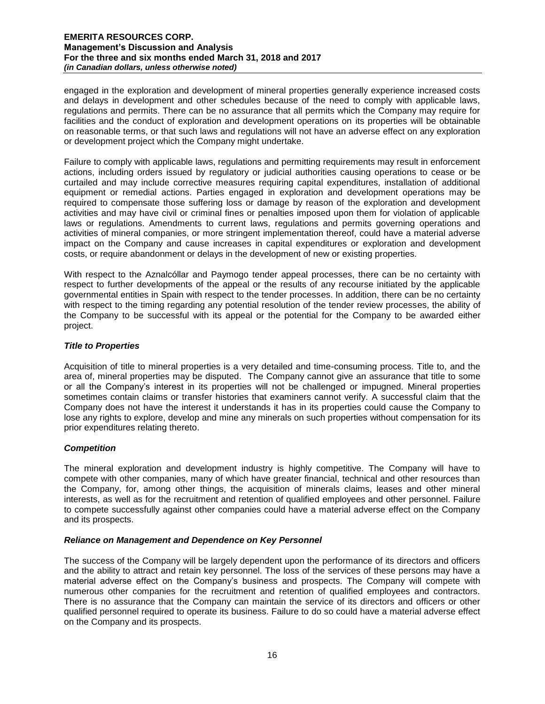engaged in the exploration and development of mineral properties generally experience increased costs and delays in development and other schedules because of the need to comply with applicable laws, regulations and permits. There can be no assurance that all permits which the Company may require for facilities and the conduct of exploration and development operations on its properties will be obtainable on reasonable terms, or that such laws and regulations will not have an adverse effect on any exploration or development project which the Company might undertake.

Failure to comply with applicable laws, regulations and permitting requirements may result in enforcement actions, including orders issued by regulatory or judicial authorities causing operations to cease or be curtailed and may include corrective measures requiring capital expenditures, installation of additional equipment or remedial actions. Parties engaged in exploration and development operations may be required to compensate those suffering loss or damage by reason of the exploration and development activities and may have civil or criminal fines or penalties imposed upon them for violation of applicable laws or regulations. Amendments to current laws, regulations and permits governing operations and activities of mineral companies, or more stringent implementation thereof, could have a material adverse impact on the Company and cause increases in capital expenditures or exploration and development costs, or require abandonment or delays in the development of new or existing properties.

With respect to the Aznalcóllar and Paymogo tender appeal processes, there can be no certainty with respect to further developments of the appeal or the results of any recourse initiated by the applicable governmental entities in Spain with respect to the tender processes. In addition, there can be no certainty with respect to the timing regarding any potential resolution of the tender review processes, the ability of the Company to be successful with its appeal or the potential for the Company to be awarded either project.

# *Title to Properties*

Acquisition of title to mineral properties is a very detailed and time-consuming process. Title to, and the area of, mineral properties may be disputed. The Company cannot give an assurance that title to some or all the Company's interest in its properties will not be challenged or impugned. Mineral properties sometimes contain claims or transfer histories that examiners cannot verify. A successful claim that the Company does not have the interest it understands it has in its properties could cause the Company to lose any rights to explore, develop and mine any minerals on such properties without compensation for its prior expenditures relating thereto.

# *Competition*

The mineral exploration and development industry is highly competitive. The Company will have to compete with other companies, many of which have greater financial, technical and other resources than the Company, for, among other things, the acquisition of minerals claims, leases and other mineral interests, as well as for the recruitment and retention of qualified employees and other personnel. Failure to compete successfully against other companies could have a material adverse effect on the Company and its prospects.

# *Reliance on Management and Dependence on Key Personnel*

The success of the Company will be largely dependent upon the performance of its directors and officers and the ability to attract and retain key personnel. The loss of the services of these persons may have a material adverse effect on the Company's business and prospects. The Company will compete with numerous other companies for the recruitment and retention of qualified employees and contractors. There is no assurance that the Company can maintain the service of its directors and officers or other qualified personnel required to operate its business. Failure to do so could have a material adverse effect on the Company and its prospects.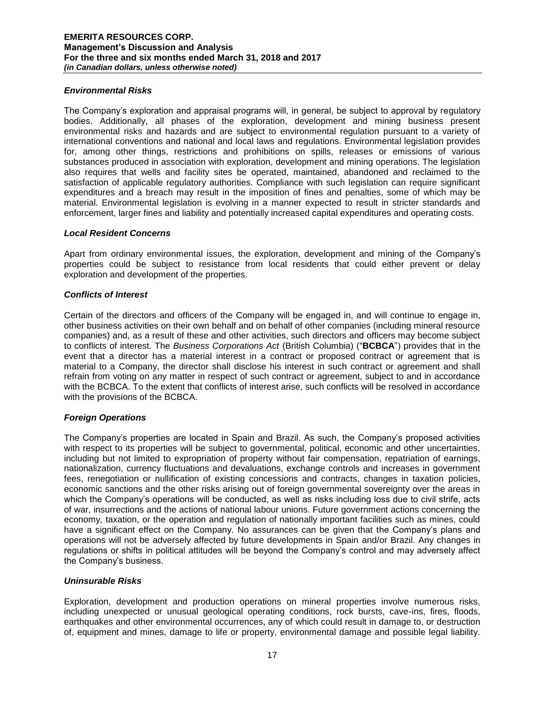# *Environmental Risks*

The Company's exploration and appraisal programs will, in general, be subject to approval by regulatory bodies. Additionally, all phases of the exploration, development and mining business present environmental risks and hazards and are subject to environmental regulation pursuant to a variety of international conventions and national and local laws and regulations. Environmental legislation provides for, among other things, restrictions and prohibitions on spills, releases or emissions of various substances produced in association with exploration, development and mining operations. The legislation also requires that wells and facility sites be operated, maintained, abandoned and reclaimed to the satisfaction of applicable regulatory authorities. Compliance with such legislation can require significant expenditures and a breach may result in the imposition of fines and penalties, some of which may be material. Environmental legislation is evolving in a manner expected to result in stricter standards and enforcement, larger fines and liability and potentially increased capital expenditures and operating costs.

#### *Local Resident Concerns*

Apart from ordinary environmental issues, the exploration, development and mining of the Company's properties could be subject to resistance from local residents that could either prevent or delay exploration and development of the properties.

#### *Conflicts of Interest*

Certain of the directors and officers of the Company will be engaged in, and will continue to engage in, other business activities on their own behalf and on behalf of other companies (including mineral resource companies) and, as a result of these and other activities, such directors and officers may become subject to conflicts of interest. The *Business Corporations Act* (British Columbia) ("**BCBCA**") provides that in the event that a director has a material interest in a contract or proposed contract or agreement that is material to a Company, the director shall disclose his interest in such contract or agreement and shall refrain from voting on any matter in respect of such contract or agreement, subject to and in accordance with the BCBCA. To the extent that conflicts of interest arise, such conflicts will be resolved in accordance with the provisions of the BCBCA.

# *Foreign Operations*

The Company's properties are located in Spain and Brazil. As such, the Company's proposed activities with respect to its properties will be subject to governmental, political, economic and other uncertainties, including but not limited to expropriation of property without fair compensation, repatriation of earnings, nationalization, currency fluctuations and devaluations, exchange controls and increases in government fees, renegotiation or nullification of existing concessions and contracts, changes in taxation policies, economic sanctions and the other risks arising out of foreign governmental sovereignty over the areas in which the Company's operations will be conducted, as well as risks including loss due to civil strife, acts of war, insurrections and the actions of national labour unions. Future government actions concerning the economy, taxation, or the operation and regulation of nationally important facilities such as mines, could have a significant effect on the Company. No assurances can be given that the Company's plans and operations will not be adversely affected by future developments in Spain and/or Brazil. Any changes in regulations or shifts in political attitudes will be beyond the Company's control and may adversely affect the Company's business.

# *Uninsurable Risks*

Exploration, development and production operations on mineral properties involve numerous risks, including unexpected or unusual geological operating conditions, rock bursts, cave-ins, fires, floods, earthquakes and other environmental occurrences, any of which could result in damage to, or destruction of, equipment and mines, damage to life or property, environmental damage and possible legal liability.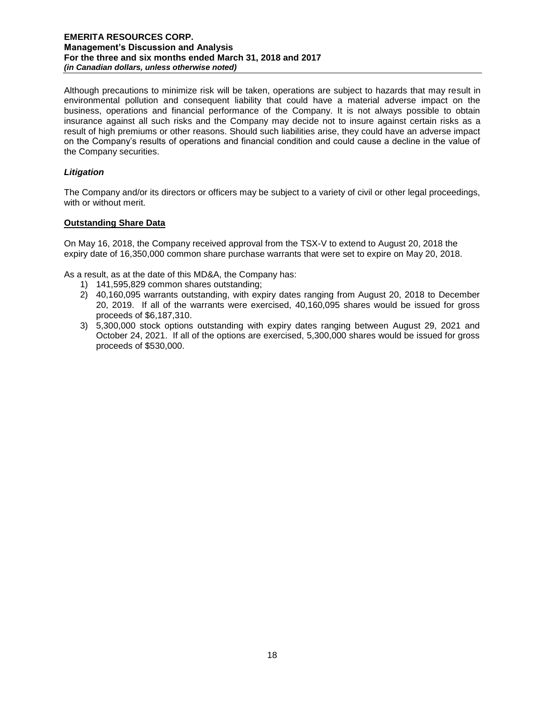Although precautions to minimize risk will be taken, operations are subject to hazards that may result in environmental pollution and consequent liability that could have a material adverse impact on the business, operations and financial performance of the Company. It is not always possible to obtain insurance against all such risks and the Company may decide not to insure against certain risks as a result of high premiums or other reasons. Should such liabilities arise, they could have an adverse impact on the Company's results of operations and financial condition and could cause a decline in the value of the Company securities.

# *Litigation*

The Company and/or its directors or officers may be subject to a variety of civil or other legal proceedings, with or without merit.

# **Outstanding Share Data**

On May 16, 2018, the Company received approval from the TSX-V to extend to August 20, 2018 the expiry date of 16,350,000 common share purchase warrants that were set to expire on May 20, 2018.

As a result, as at the date of this MD&A, the Company has:

- 1) 141,595,829 common shares outstanding;
- 2) 40,160,095 warrants outstanding, with expiry dates ranging from August 20, 2018 to December 20, 2019. If all of the warrants were exercised, 40,160,095 shares would be issued for gross proceeds of \$6,187,310.
- 3) 5,300,000 stock options outstanding with expiry dates ranging between August 29, 2021 and October 24, 2021. If all of the options are exercised, 5,300,000 shares would be issued for gross proceeds of \$530,000.